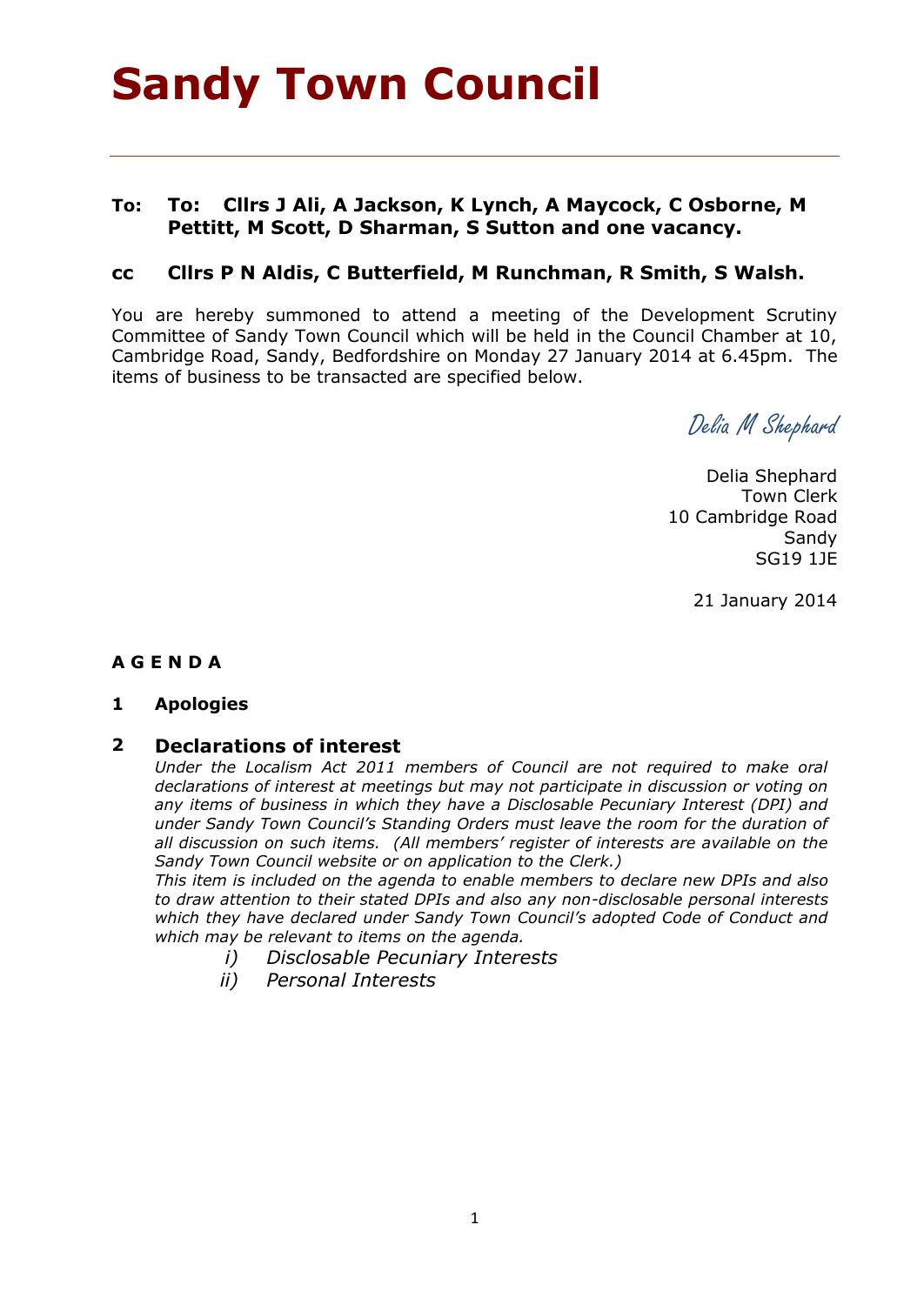# **Sandy Town Council**

# **To: To: Cllrs J Ali, A Jackson, K Lynch, A Maycock, C Osborne, M Pettitt, M Scott, D Sharman, S Sutton and one vacancy.**

# **cc Cllrs P N Aldis, C Butterfield, M Runchman, R Smith, S Walsh.**

You are hereby summoned to attend a meeting of the Development Scrutiny Committee of Sandy Town Council which will be held in the Council Chamber at 10, Cambridge Road, Sandy, Bedfordshire on Monday 27 January 2014 at 6.45pm. The items of business to be transacted are specified below.

Delia M Shephard

Delia Shephard Town Clerk 10 Cambridge Road **Sandy** SG19 1JE

21 January 2014

### **A G E N D A**

### **1 Apologies**

### **2 Declarations of interest**

*Under the Localism Act 2011 members of Council are not required to make oral declarations of interest at meetings but may not participate in discussion or voting on any items of business in which they have a Disclosable Pecuniary Interest (DPI) and under Sandy Town Council's Standing Orders must leave the room for the duration of all discussion on such items. (All members' register of interests are available on the Sandy Town Council website or on application to the Clerk.)* 

*This item is included on the agenda to enable members to declare new DPIs and also to draw attention to their stated DPIs and also any non-disclosable personal interests which they have declared under Sandy Town Council's adopted Code of Conduct and which may be relevant to items on the agenda.* 

- *i) Disclosable Pecuniary Interests*
- *ii) Personal Interests*